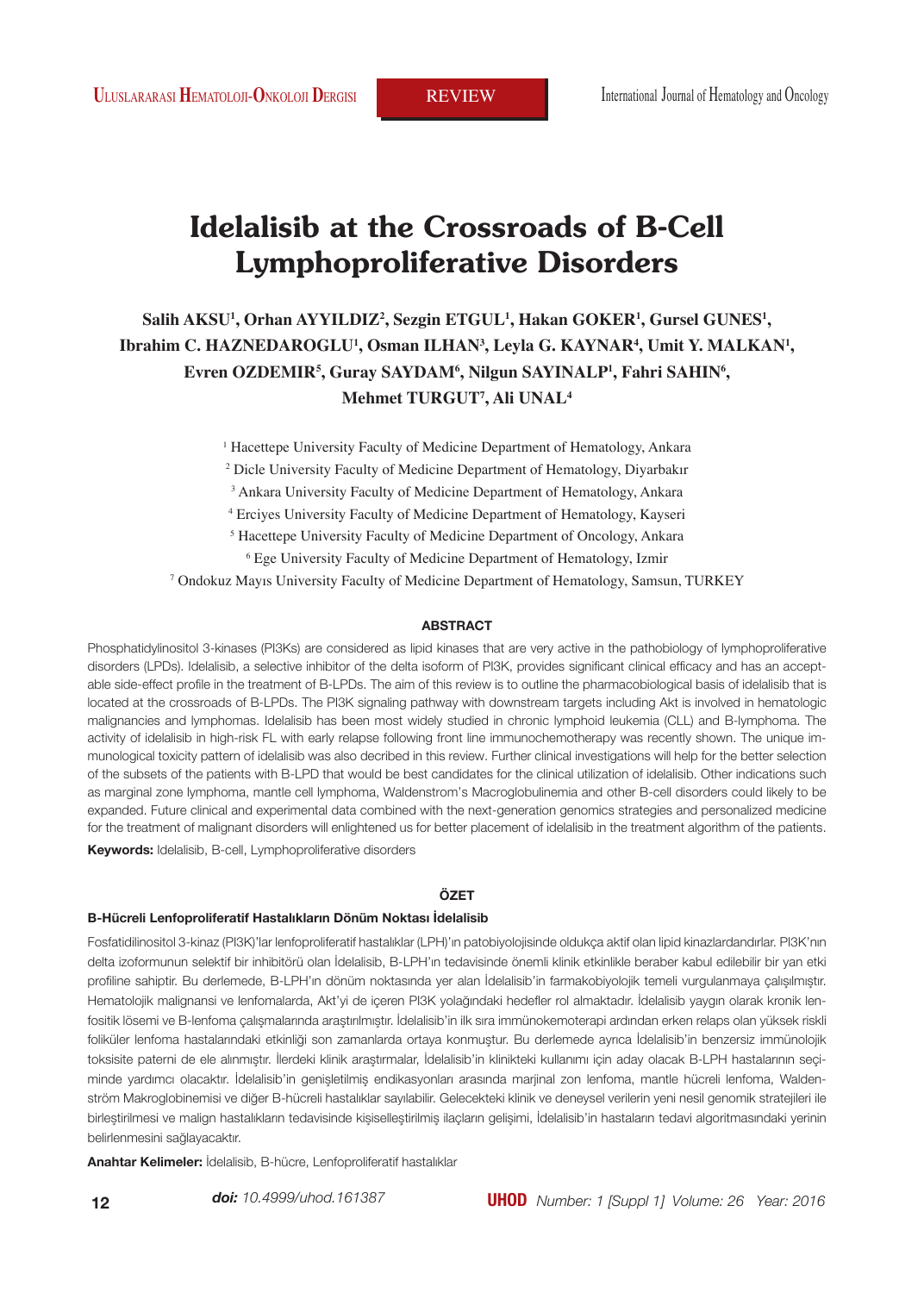# **Idelalisib at the Crossroads of B-Cell Lymphoproliferative Disorders**

## **Salih AKSU1 , Orhan AYYILDIZ2 , Sezgin ETGUL1 , Hakan GOKER1 , Gursel GUNES1 , Ibrahim C. HAZNEDAROGLU<sup>1</sup>, Osman ILHAN<sup>3</sup>, Leyla G. KAYNAR<sup>4</sup>, Umit Y. MALKAN<sup>1</sup>, Evren OZDEMIR5 , Guray SAYDAM6 , Nilgun SAYINALP1 , Fahri SAHIN6 , Mehmet TURGUT7 , Ali UNAL4**

<sup>1</sup> Hacettepe University Faculty of Medicine Department of Hematology, Ankara

2 Dicle University Faculty of Medicine Department of Hematology, Diyarbakır

3 Ankara University Faculty of Medicine Department of Hematology, Ankara

4 Erciyes University Faculty of Medicine Department of Hematology, Kayseri

5 Hacettepe University Faculty of Medicine Department of Oncology, Ankara

6 Ege University Faculty of Medicine Department of Hematology, Izmir

7 Ondokuz Mayıs University Faculty of Medicine Department of Hematology, Samsun, TURKEY

#### **ABSTRACT**

Phosphatidylinositol 3-kinases (PI3Ks) are considered as lipid kinases that are very active in the pathobiology of lymphoproliferative disorders (LPDs). Idelalisib, a selective inhibitor of the delta isoform of PI3K, provides significant clinical efficacy and has an acceptable side-effect profile in the treatment of B-LPDs. The aim of this review is to outline the pharmacobiological basis of idelalisib that is located at the crossroads of B-LPDs. The PI3K signaling pathway with downstream targets including Akt is involved in hematologic malignancies and lymphomas. Idelalisib has been most widely studied in chronic lymphoid leukemia (CLL) and B-lymphoma. The activity of idelalisib in high-risk FL with early relapse following front line immunochemotherapy was recently shown. The unique immunological toxicity pattern of idelalisib was also decribed in this review. Further clinical investigations will help for the better selection of the subsets of the patients with B-LPD that would be best candidates for the clinical utilization of idelalisib. Other indications such as marginal zone lymphoma, mantle cell lymphoma, Waldenstrom's Macroglobulinemia and other B-cell disorders could likely to be expanded. Future clinical and experimental data combined with the next-generation genomics strategies and personalized medicine for the treatment of malignant disorders will enlightened us for better placement of idelalisib in the treatment algorithm of the patients. **Keywords:** Idelalisib, B-cell, Lymphoproliferative disorders

#### **ÖZET**

#### **B-Hücreli Lenfoproliferatif Hastalıkların Dönüm Noktası İdelalisib**

Fosfatidilinositol 3-kinaz (PI3K)'lar lenfoproliferatif hastalıklar (LPH)'ın patobiyolojisinde oldukça aktif olan lipid kinazlardandırlar. PI3K'nın delta izoformunun selektif bir inhibitörü olan İdelalisib, B-LPH'ın tedavisinde önemli klinik etkinlikle beraber kabul edilebilir bir yan etki profiline sahiptir. Bu derlemede, B-LPH'ın dönüm noktasında yer alan İdelalisib'in farmakobiyolojik temeli vurgulanmaya çalışılmıştır. Hematolojik malignansi ve lenfomalarda, Akt'yi de içeren PI3K yolağındaki hedefler rol almaktadır. İdelalisib yaygın olarak kronik lenfositik lösemi ve B-lenfoma çalışmalarında araştırılmıştır. İdelalisib'in ilk sıra immünokemoterapi ardından erken relaps olan yüksek riskli foliküler lenfoma hastalarındaki etkinliği son zamanlarda ortaya konmuştur. Bu derlemede ayrıca İdelalisib'in benzersiz immünolojik toksisite paterni de ele alınmıştır. İlerdeki klinik araştırmalar, İdelalisib'in klinikteki kullanımı için aday olacak B-LPH hastalarının seçiminde yardımcı olacaktır. İdelalisib'in genişletilmiş endikasyonları arasında marjinal zon lenfoma, mantle hücreli lenfoma, Waldenström Makroglobinemisi ve diğer B-hücreli hastalıklar sayılabilir. Gelecekteki klinik ve deneysel verilerin yeni nesil genomik stratejileri ile birleştirilmesi ve malign hastalıkların tedavisinde kişiselleştirilmiş ilaçların gelişimi, İdelalisib'in hastaların tedavi algoritmasındaki yerinin belirlenmesini sağlayacaktır.

**Anahtar Kelimeler:** İdelalisib, B-hücre, Lenfoproliferatif hastalıklar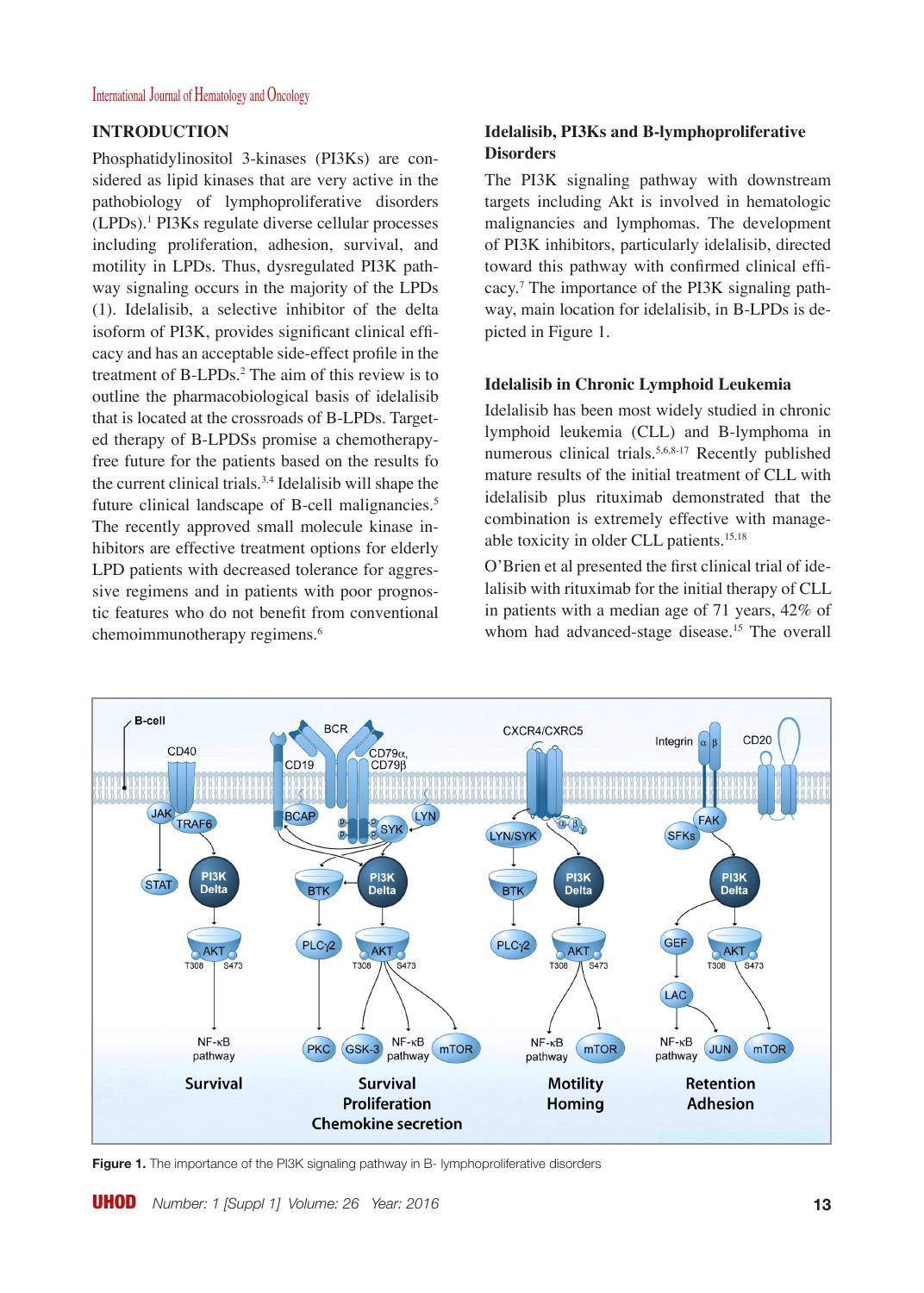## **INTRODUCTION**

Phosphatidylinositol 3-kinases (PI3Ks) are considered as lipid kinases that are very active in the pathobiology of lymphoproliferative disorders (LPDs).1 PI3Ks regulate diverse cellular processes including proliferation, adhesion, survival, and motility in LPDs. Thus, dysregulated PI3K pathway signaling occurs in the majority of the LPDs (1). Idelalisib, a selective inhibitor of the delta isoform of PI3K, provides significant clinical efficacy and has an acceptable side-effect profile in the treatment of B-LPDs.<sup>2</sup> The aim of this review is to outline the pharmacobiological basis of idelalisib that is located at the crossroads of B-LPDs. Targeted therapy of B-LPDSs promise a chemotherapyfree future for the patients based on the results fo the current clinical trials.<sup>3,4</sup> Idelalisib will shape the future clinical landscape of B-cell malignancies.<sup>5</sup> The recently approved small molecule kinase inhibitors are effective treatment options for elderly LPD patients with decreased tolerance for aggressive regimens and in patients with poor prognostic features who do not benefit from conventional chemoimmunotherapy regimens.6

## **Idelalisib, PI3Ks and B-lymphoproliferative Disorders**

The PI3K signaling pathway with downstream targets including Akt is involved in hematologic malignancies and lymphomas. The development of PI3K inhibitors, particularly idelalisib, directed toward this pathway with confirmed clinical efficacy.7 The importance of the PI3K signaling pathway, main location for idelalisib, in B-LPDs is depicted in Figure 1.

### **Idelalisib in Chronic Lymphoid Leukemia**

Idelalisib has been most widely studied in chronic lymphoid leukemia (CLL) and B-lymphoma in numerous clinical trials.5,6,8-17 Recently published mature results of the initial treatment of CLL with idelalisib plus rituximab demonstrated that the combination is extremely effective with manageable toxicity in older CLL patients.15,18

O'Brien et al presented the first clinical trial of idelalisib with rituximab for the initial therapy of CLL in patients with a median age of 71 years, 42% of whom had advanced-stage disease.<sup>15</sup> The overall



**Figure 1.** The importance of the PI3K signaling pathway in B- lymphoproliferative disorders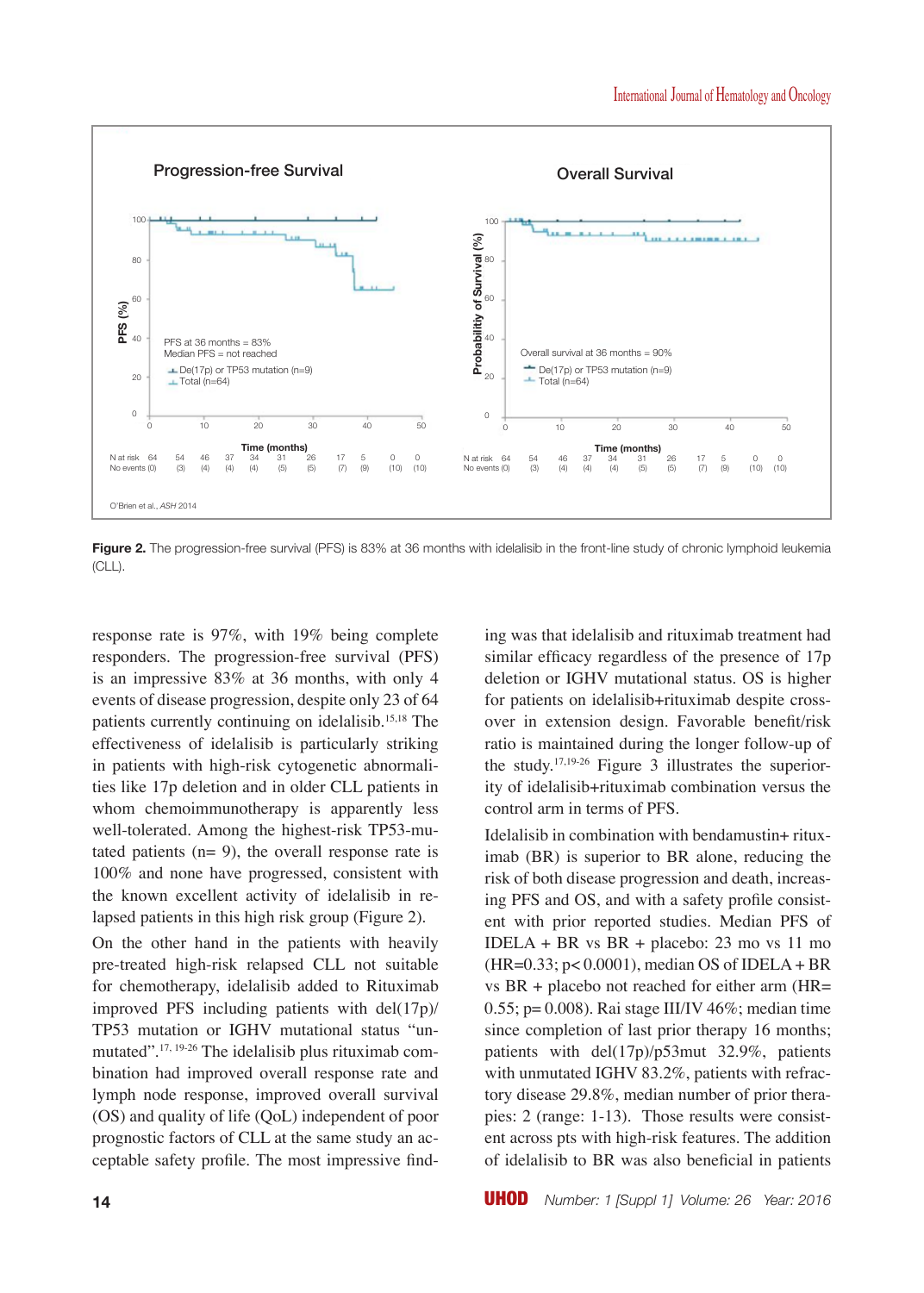

Figure 2. The progression-free survival (PFS) is 83% at 36 months with idelalisib in the front-line study of chronic lymphoid leukemia (CLL).

response rate is 97%, with 19% being complete responders. The progression-free survival (PFS) is an impressive 83% at 36 months, with only 4 events of disease progression, despite only 23 of 64 patients currently continuing on idelalisib.15,18 The effectiveness of idelalisib is particularly striking in patients with high-risk cytogenetic abnormalities like 17p deletion and in older CLL patients in whom chemoimmunotherapy is apparently less well-tolerated. Among the highest-risk TP53-mutated patients  $(n= 9)$ , the overall response rate is 100% and none have progressed, consistent with the known excellent activity of idelalisib in relapsed patients in this high risk group (Figure 2).

On the other hand in the patients with heavily pre-treated high-risk relapsed CLL not suitable for chemotherapy, idelalisib added to Rituximab improved PFS including patients with del(17p)/ TP53 mutation or IGHV mutational status "unmutated".17, 19-26 The idelalisib plus rituximab combination had improved overall response rate and lymph node response, improved overall survival (OS) and quality of life (QoL) independent of poor prognostic factors of CLL at the same study an acceptable safety profile. The most impressive finding was that idelalisib and rituximab treatment had similar efficacy regardless of the presence of 17p deletion or IGHV mutational status. OS is higher for patients on idelalisib+rituximab despite crossover in extension design. Favorable benefit/risk ratio is maintained during the longer follow-up of the study.17,19-26 Figure 3 illustrates the superiority of idelalisib+rituximab combination versus the control arm in terms of PFS.

Idelalisib in combination with bendamustin+ rituximab (BR) is superior to BR alone, reducing the risk of both disease progression and death, increasing PFS and OS, and with a safety profile consistent with prior reported studies. Median PFS of IDELA + BR vs BR + placebo: 23 mo vs 11 mo (HR=0.33; p< 0.0001), median OS of IDELA + BR vs BR + placebo not reached for either arm (HR= 0.55; p= 0.008). Rai stage III/IV  $46\%$ ; median time since completion of last prior therapy 16 months; patients with del(17p)/p53mut 32.9%, patients with unmutated IGHV 83.2%, patients with refractory disease 29.8%, median number of prior therapies: 2 (range: 1-13). Those results were consistent across pts with high-risk features. The addition of idelalisib to BR was also beneficial in patients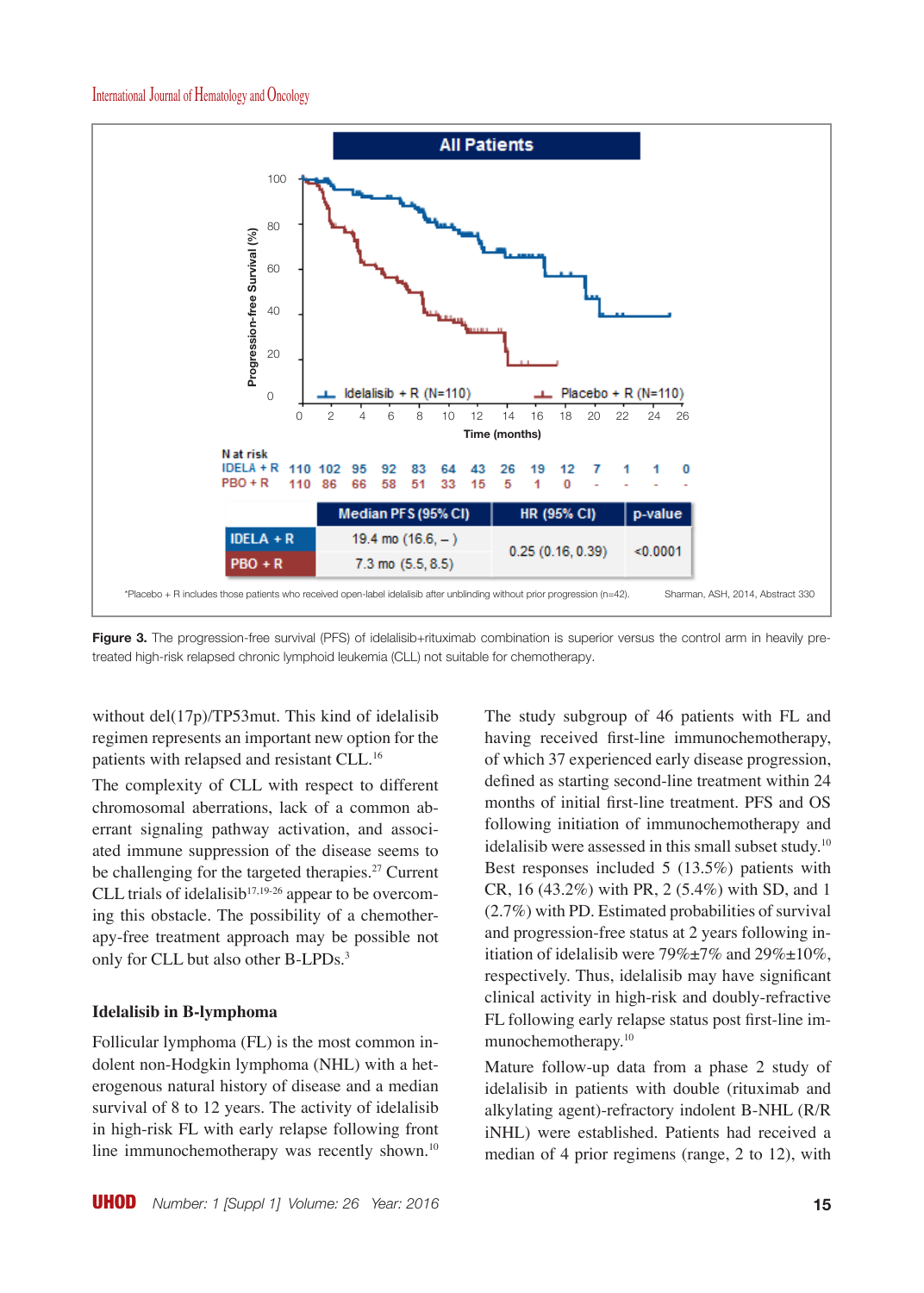

**Figure 3.** The progression-free survival (PFS) of idelalisib+rituximab combination is superior versus the control arm in heavily pretreated high-risk relapsed chronic lymphoid leukemia (CLL) not suitable for chemotherapy.

without del(17p)/TP53mut. This kind of idelalisib regimen represents an important new option for the patients with relapsed and resistant CLL.<sup>16</sup>

The complexity of CLL with respect to different chromosomal aberrations, lack of a common aberrant signaling pathway activation, and associated immune suppression of the disease seems to be challenging for the targeted therapies.<sup>27</sup> Current CLL trials of idelalisib<sup>17,19-26</sup> appear to be overcoming this obstacle. The possibility of a chemotherapy-free treatment approach may be possible not only for CLL but also other B-LPDs.<sup>3</sup>

#### **Idelalisib in B-lymphoma**

Follicular lymphoma (FL) is the most common indolent non-Hodgkin lymphoma (NHL) with a heterogenous natural history of disease and a median survival of 8 to 12 years. The activity of idelalisib in high-risk FL with early relapse following front line immunochemotherapy was recently shown.<sup>10</sup> The study subgroup of 46 patients with FL and having received first-line immunochemotherapy, of which 37 experienced early disease progression, defined as starting second-line treatment within 24 months of initial first-line treatment. PFS and OS following initiation of immunochemotherapy and idelalisib were assessed in this small subset study.10 Best responses included 5 (13.5%) patients with CR, 16 (43.2%) with PR, 2 (5.4%) with SD, and 1 (2.7%) with PD. Estimated probabilities of survival and progression-free status at 2 years following initiation of idelalisib were  $79\% \pm 7\%$  and  $29\% \pm 10\%$ , respectively. Thus, idelalisib may have significant clinical activity in high-risk and doubly-refractive FL following early relapse status post first-line immunochemotherapy.10

Mature follow-up data from a phase 2 study of idelalisib in patients with double (rituximab and alkylating agent)-refractory indolent B-NHL (R/R iNHL) were established. Patients had received a median of 4 prior regimens (range, 2 to 12), with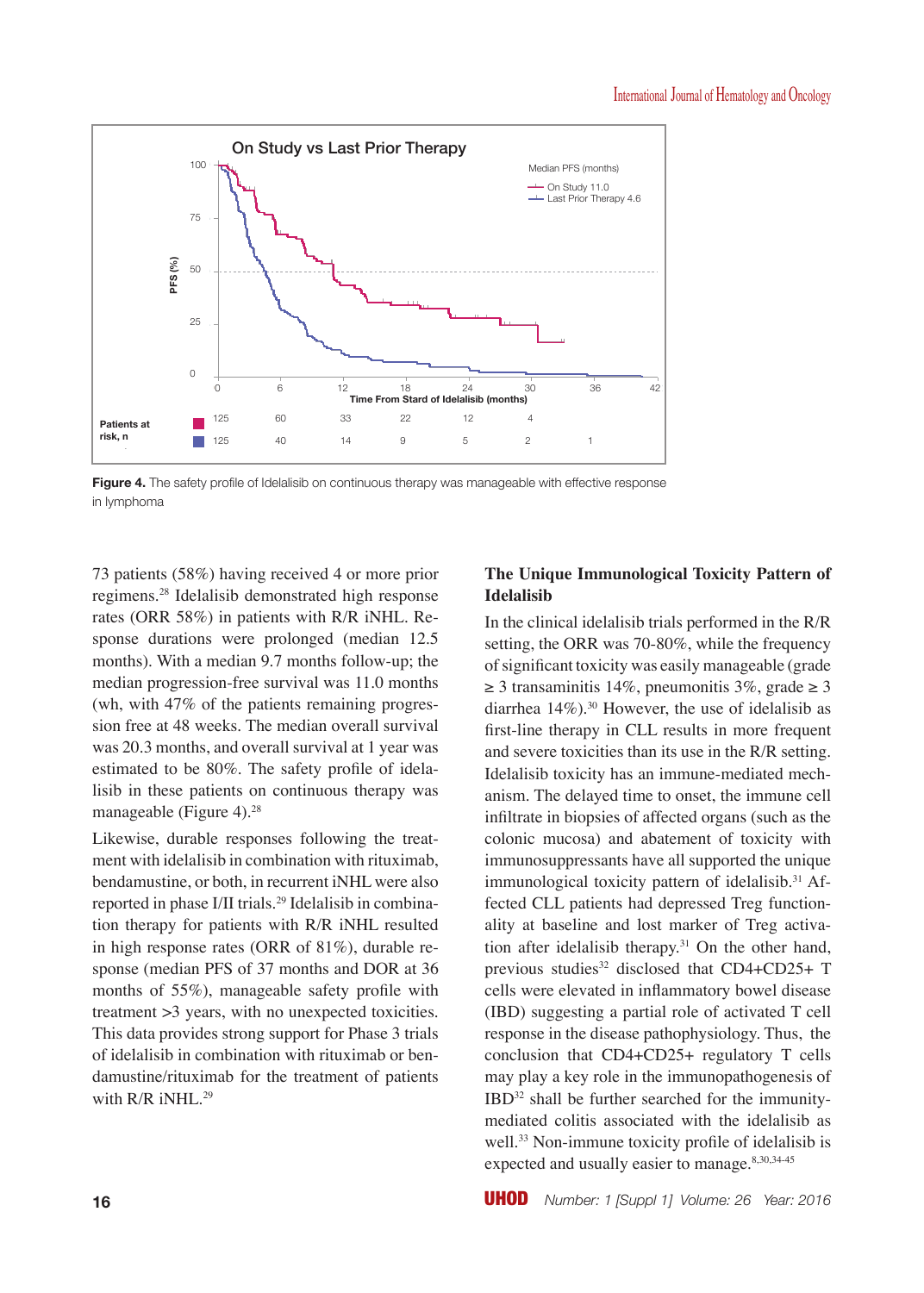

**Figure 4.** The safety profile of Idelalisib on continuous therapy was manageable with effective response in lymphoma

73 patients (58%) having received 4 or more prior regimens.28 Idelalisib demonstrated high response rates (ORR 58%) in patients with R/R iNHL. Response durations were prolonged (median 12.5 months). With a median 9.7 months follow-up; the median progression-free survival was 11.0 months (wh, with 47% of the patients remaining progression free at 48 weeks. The median overall survival was 20.3 months, and overall survival at 1 year was estimated to be 80%. The safety profile of idelalisib in these patients on continuous therapy was manageable (Figure 4).<sup>28</sup>

Likewise, durable responses following the treatment with idelalisib in combination with rituximab, bendamustine, or both, in recurrent iNHL were also reported in phase I/II trials.29 Idelalisib in combination therapy for patients with R/R iNHL resulted in high response rates (ORR of 81%), durable response (median PFS of 37 months and DOR at 36 months of 55%), manageable safety profile with treatment >3 years, with no unexpected toxicities. This data provides strong support for Phase 3 trials of idelalisib in combination with rituximab or bendamustine/rituximab for the treatment of patients with  $R/R$  iNHL.<sup>29</sup>

## **The Unique Immunological Toxicity Pattern of Idelalisib**

In the clinical idelalisib trials performed in the R/R setting, the ORR was 70-80%, while the frequency of significant toxicity was easily manageable (grade  $\geq$  3 transaminitis 14%, pneumonitis 3%, grade  $\geq$  3 diarrhea  $14\%$ ).<sup>30</sup> However, the use of idelalisib as first-line therapy in CLL results in more frequent and severe toxicities than its use in the R/R setting. Idelalisib toxicity has an immune-mediated mechanism. The delayed time to onset, the immune cell infiltrate in biopsies of affected organs (such as the colonic mucosa) and abatement of toxicity with immunosuppressants have all supported the unique immunological toxicity pattern of idelalisib.<sup>31</sup> Affected CLL patients had depressed Treg functionality at baseline and lost marker of Treg activation after idelalisib therapy. $31$  On the other hand, previous studies<sup>32</sup> disclosed that  $CD4+CD25+T$ cells were elevated in inflammatory bowel disease (IBD) suggesting a partial role of activated T cell response in the disease pathophysiology. Thus, the conclusion that CD4+CD25+ regulatory T cells may play a key role in the immunopathogenesis of IBD32 shall be further searched for the immunitymediated colitis associated with the idelalisib as well.<sup>33</sup> Non-immune toxicity profile of idelalisib is expected and usually easier to manage.<sup>8,30,34-45</sup>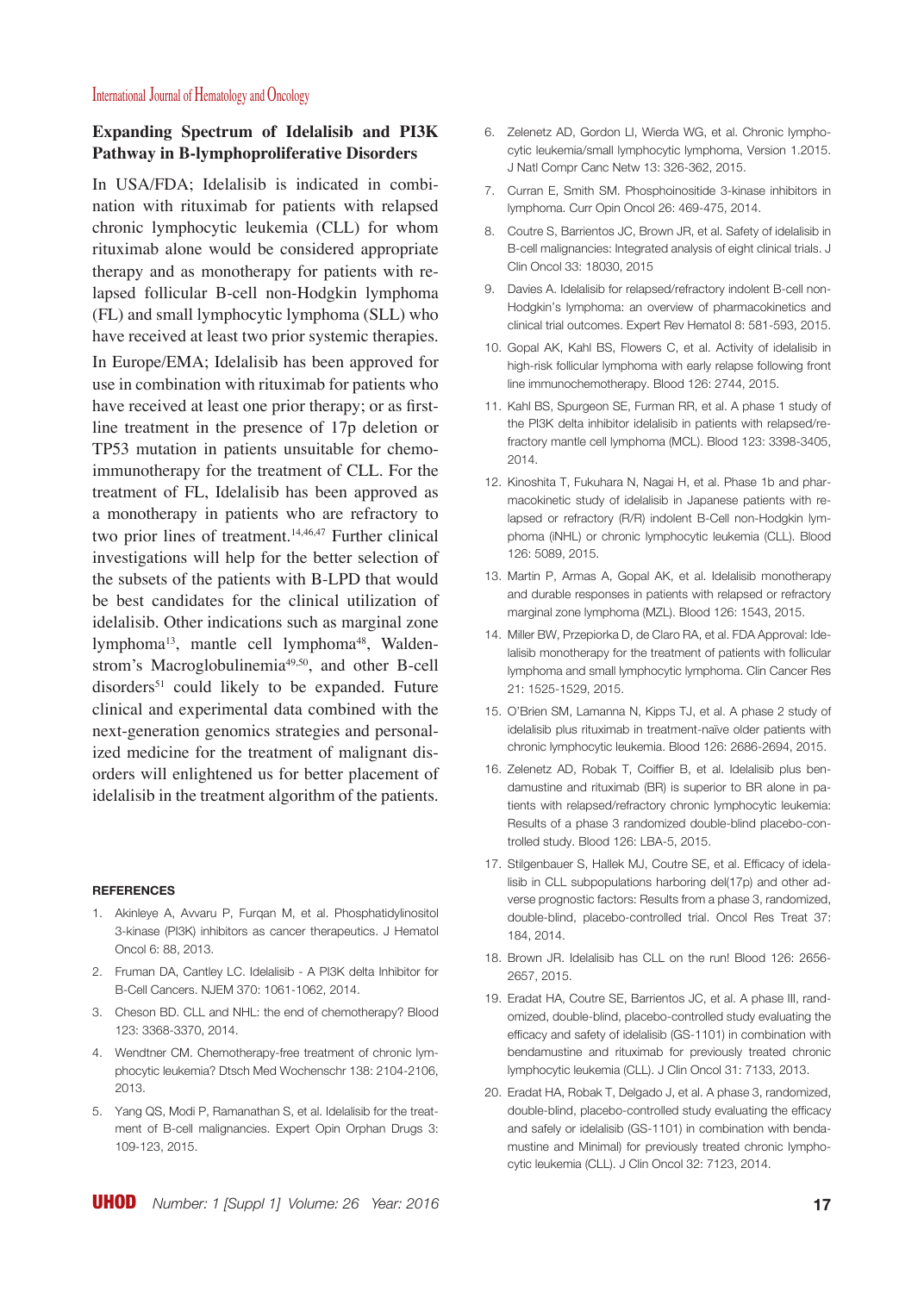## **Expanding Spectrum of Idelalisib and PI3K Pathway in B-lymphoproliferative Disorders**

In USA/FDA; Idelalisib is indicated in combination with rituximab for patients with relapsed chronic lymphocytic leukemia (CLL) for whom rituximab alone would be considered appropriate therapy and as monotherapy for patients with relapsed follicular B-cell non-Hodgkin lymphoma (FL) and small lymphocytic lymphoma (SLL) who have received at least two prior systemic therapies. In Europe/EMA; Idelalisib has been approved for use in combination with rituximab for patients who have received at least one prior therapy; or as firstline treatment in the presence of 17p deletion or TP53 mutation in patients unsuitable for chemoimmunotherapy for the treatment of CLL. For the treatment of FL, Idelalisib has been approved as a monotherapy in patients who are refractory to two prior lines of treatment.<sup>14,46,47</sup> Further clinical investigations will help for the better selection of the subsets of the patients with B-LPD that would be best candidates for the clinical utilization of idelalisib. Other indications such as marginal zone lymphoma<sup>13</sup>, mantle cell lymphoma<sup>48</sup>, Waldenstrom's Macroglobulinemia<sup>49,50</sup>, and other B-cell  $disorders<sup>51</sup>$  could likely to be expanded. Future clinical and experimental data combined with the next-generation genomics strategies and personalized medicine for the treatment of malignant disorders will enlightened us for better placement of idelalisib in the treatment algorithm of the patients.

#### **REFERENCES**

- 1. Akinleye A, Avvaru P, Furqan M, et al. Phosphatidylinositol 3-kinase (PI3K) inhibitors as cancer therapeutics. J Hematol Oncol 6: 88, 2013.
- 2. Fruman DA, Cantley LC. Idelalisib A PI3K delta Inhibitor for B-Cell Cancers. NJEM 370: 1061-1062, 2014.
- 3. Cheson BD. CLL and NHL: the end of chemotherapy? Blood 123: 3368-3370, 2014.
- 4. Wendtner CM. Chemotherapy-free treatment of chronic lymphocytic leukemia? Dtsch Med Wochenschr 138: 2104-2106, 2013.
- 5. Yang QS, Modi P, Ramanathan S, et al. Idelalisib for the treatment of B-cell malignancies. Expert Opin Orphan Drugs 3: 109-123, 2015.
- 6. Zelenetz AD, Gordon LI, Wierda WG, et al. Chronic lymphocytic leukemia/small lymphocytic lymphoma, Version 1.2015. J Natl Compr Canc Netw 13: 326-362, 2015.
- 7. Curran E, Smith SM. Phosphoinositide 3-kinase inhibitors in lymphoma. Curr Opin Oncol 26: 469-475, 2014.
- 8. Coutre S, Barrientos JC, Brown JR, et al. Safety of idelalisib in B-cell malignancies: Integrated analysis of eight clinical trials. J Clin Oncol 33: 18030, 2015
- 9. Davies A. Idelalisib for relapsed/refractory indolent B-cell non-Hodgkin's lymphoma: an overview of pharmacokinetics and clinical trial outcomes. Expert Rev Hematol 8: 581-593, 2015.
- 10. Gopal AK, Kahl BS, Flowers C, et al. Activity of idelalisib in high-risk follicular lymphoma with early relapse following front line immunochemotherapy. Blood 126: 2744, 2015.
- 11. Kahl BS, Spurgeon SE, Furman RR, et al. A phase 1 study of the PI3K delta inhibitor idelalisib in patients with relapsed/refractory mantle cell lymphoma (MCL). Blood 123: 3398-3405, 2014.
- 12. Kinoshita T, Fukuhara N, Nagai H, et al. Phase 1b and pharmacokinetic study of idelalisib in Japanese patients with relapsed or refractory (R/R) indolent B-Cell non-Hodgkin lymphoma (iNHL) or chronic lymphocytic leukemia (CLL). Blood 126: 5089, 2015.
- 13. Martin P, Armas A, Gopal AK, et al. Idelalisib monotherapy and durable responses in patients with relapsed or refractory marginal zone lymphoma (MZL). Blood 126: 1543, 2015.
- 14. Miller BW, Przepiorka D, de Claro RA, et al. FDA Approval: Idelalisib monotherapy for the treatment of patients with follicular lymphoma and small lymphocytic lymphoma. Clin Cancer Res 21: 1525-1529, 2015.
- 15. O'Brien SM, Lamanna N, Kipps TJ, et al. A phase 2 study of idelalisib plus rituximab in treatment-naïve older patients with chronic lymphocytic leukemia. Blood 126: 2686-2694, 2015.
- 16. Zelenetz AD, Robak T, Coiffier B, et al. Idelalisib plus bendamustine and rituximab (BR) is superior to BR alone in patients with relapsed/refractory chronic lymphocytic leukemia: Results of a phase 3 randomized double-blind placebo-controlled study. Blood 126: LBA-5, 2015.
- 17. Stilgenbauer S, Hallek MJ, Coutre SE, et al. Efficacy of idelalisib in CLL subpopulations harboring del(17p) and other adverse prognostic factors: Results from a phase 3, randomized, double-blind, placebo-controlled trial. Oncol Res Treat 37: 184, 2014.
- 18. Brown JR. Idelalisib has CLL on the run! Blood 126: 2656-2657, 2015.
- 19. Eradat HA, Coutre SE, Barrientos JC, et al. A phase III, randomized, double-blind, placebo-controlled study evaluating the efficacy and safety of idelalisib (GS-1101) in combination with bendamustine and rituximab for previously treated chronic lymphocytic leukemia (CLL). J Clin Oncol 31: 7133, 2013.
- 20. Eradat HA, Robak T, Delgado J, et al. A phase 3, randomized, double-blind, placebo-controlled study evaluating the efficacy and safely or idelalisib (GS-1101) in combination with bendamustine and Minimal) for previously treated chronic lymphocytic leukemia (CLL). J Clin Oncol 32: 7123, 2014.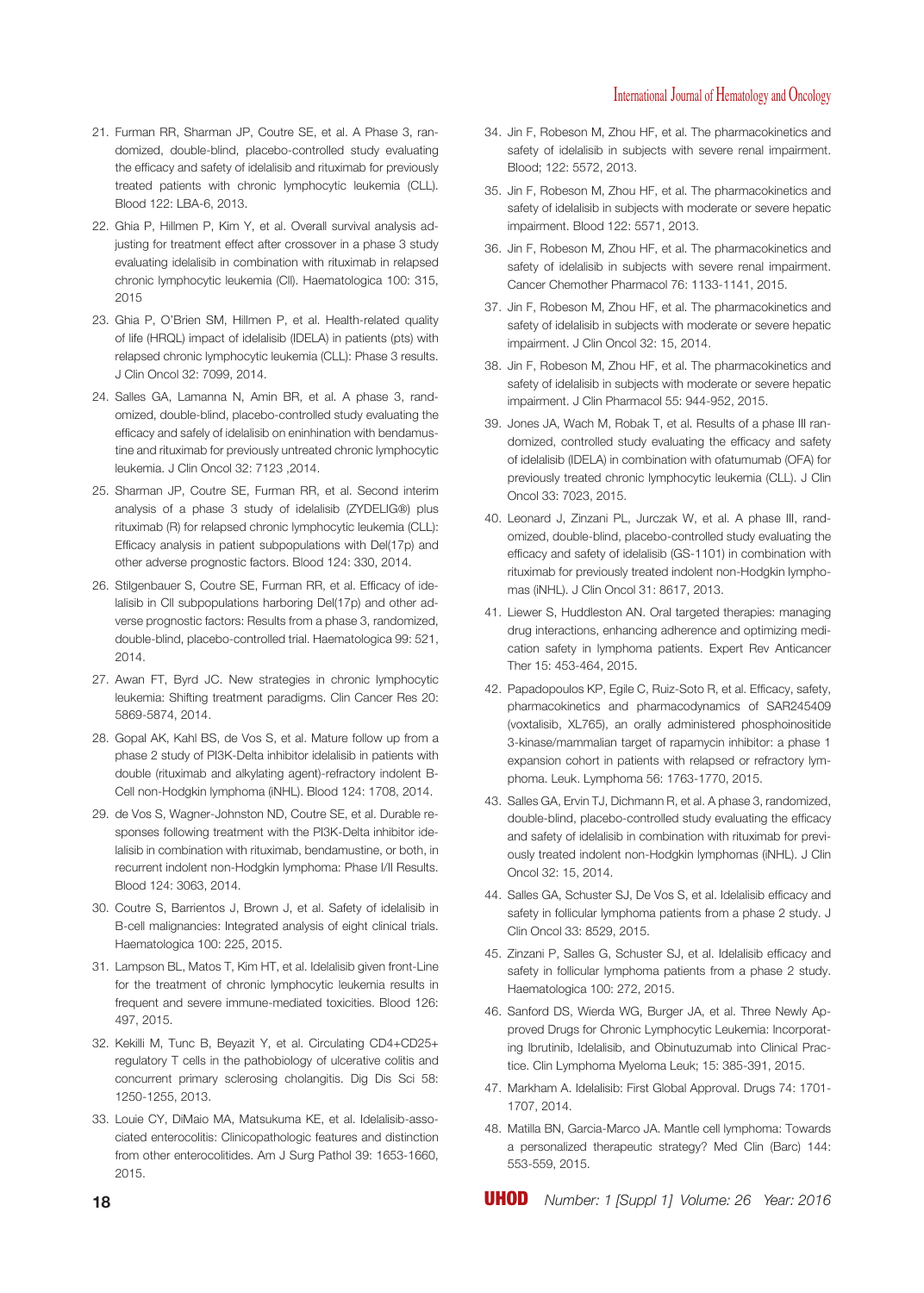- 21. Furman RR, Sharman JP, Coutre SE, et al. A Phase 3, randomized, double-blind, placebo-controlled study evaluating the efficacy and safety of idelalisib and rituximab for previously treated patients with chronic lymphocytic leukemia (CLL). Blood 122: LBA-6, 2013.
- 22. Ghia P, Hillmen P, Kim Y, et al. Overall survival analysis adjusting for treatment effect after crossover in a phase 3 study evaluating idelalisib in combination with rituximab in relapsed chronic lymphocytic leukemia (Cll). Haematologica 100: 315, 2015
- 23. Ghia P, O'Brien SM, Hillmen P, et al. Health-related quality of life (HRQL) impact of idelalisib (IDELA) in patients (pts) with relapsed chronic lymphocytic leukemia (CLL): Phase 3 results. J Clin Oncol 32: 7099, 2014.
- 24. Salles GA, Lamanna N, Amin BR, et al. A phase 3, randomized, double-blind, placebo-controlled study evaluating the efficacy and safely of idelalisib on eninhination with bendamustine and rituximab for previously untreated chronic lymphocytic leukemia. J Clin Oncol 32: 7123 ,2014.
- 25. Sharman JP, Coutre SE, Furman RR, et al. Second interim analysis of a phase 3 study of idelalisib (ZYDELIG®) plus rituximab (R) for relapsed chronic lymphocytic leukemia (CLL): Efficacy analysis in patient subpopulations with Del(17p) and other adverse prognostic factors. Blood 124: 330, 2014.
- 26. Stilgenbauer S, Coutre SE, Furman RR, et al. Efficacy of idelalisib in Cll subpopulations harboring Del(17p) and other adverse prognostic factors: Results from a phase 3, randomized, double-blind, placebo-controlled trial. Haematologica 99: 521, 2014.
- 27. Awan FT, Byrd JC. New strategies in chronic lymphocytic leukemia: Shifting treatment paradigms. Clin Cancer Res 20: 5869-5874, 2014.
- 28. Gopal AK, Kahl BS, de Vos S, et al. Mature follow up from a phase 2 study of PI3K-Delta inhibitor idelalisib in patients with double (rituximab and alkylating agent)-refractory indolent B-Cell non-Hodgkin lymphoma (iNHL). Blood 124: 1708, 2014.
- 29. de Vos S, Wagner-Johnston ND, Coutre SE, et al. Durable responses following treatment with the PI3K-Delta inhibitor idelalisib in combination with rituximab, bendamustine, or both, in recurrent indolent non-Hodgkin lymphoma: Phase I/II Results. Blood 124: 3063, 2014.
- 30. Coutre S, Barrientos J, Brown J, et al. Safety of idelalisib in B-cell malignancies: Integrated analysis of eight clinical trials. Haematologica 100: 225, 2015.
- 31. Lampson BL, Matos T, Kim HT, et al. Idelalisib given front-Line for the treatment of chronic lymphocytic leukemia results in frequent and severe immune-mediated toxicities. Blood 126: 497, 2015.
- 32. Kekilli M, Tunc B, Beyazit Y, et al. Circulating CD4+CD25+ regulatory T cells in the pathobiology of ulcerative colitis and concurrent primary sclerosing cholangitis. Dig Dis Sci 58: 1250-1255, 2013.
- 33. Louie CY, DiMaio MA, Matsukuma KE, et al. Idelalisib-associated enterocolitis: Clinicopathologic features and distinction from other enterocolitides. Am J Surg Pathol 39: 1653-1660, 2015.
- 34. Jin F, Robeson M, Zhou HF, et al. The pharmacokinetics and safety of idelalisib in subjects with severe renal impairment. Blood; 122: 5572, 2013.
- 35. Jin F, Robeson M, Zhou HF, et al. The pharmacokinetics and safety of idelalisib in subjects with moderate or severe hepatic impairment. Blood 122: 5571, 2013.
- 36. Jin F, Robeson M, Zhou HF, et al. The pharmacokinetics and safety of idelalisib in subjects with severe renal impairment. Cancer Chemother Pharmacol 76: 1133-1141, 2015.
- 37. Jin F, Robeson M, Zhou HF, et al. The pharmacokinetics and safety of idelalisib in subjects with moderate or severe hepatic impairment. J Clin Oncol 32: 15, 2014.
- 38. Jin F, Robeson M, Zhou HF, et al. The pharmacokinetics and safety of idelalisib in subjects with moderate or severe hepatic impairment. J Clin Pharmacol 55: 944-952, 2015.
- 39. Jones JA, Wach M, Robak T, et al. Results of a phase III randomized, controlled study evaluating the efficacy and safety of idelalisib (IDELA) in combination with ofatumumab (OFA) for previously treated chronic lymphocytic leukemia (CLL). J Clin Oncol 33: 7023, 2015.
- 40. Leonard J, Zinzani PL, Jurczak W, et al. A phase III, randomized, double-blind, placebo-controlled study evaluating the efficacy and safety of idelalisib (GS-1101) in combination with rituximab for previously treated indolent non-Hodgkin lymphomas (iNHL). J Clin Oncol 31: 8617, 2013.
- 41. Liewer S, Huddleston AN. Oral targeted therapies: managing drug interactions, enhancing adherence and optimizing medication safety in lymphoma patients. Expert Rev Anticancer Ther 15: 453-464, 2015.
- 42. Papadopoulos KP, Egile C, Ruiz-Soto R, et al. Efficacy, safety, pharmacokinetics and pharmacodynamics of SAR245409 (voxtalisib, XL765), an orally administered phosphoinositide 3-kinase/mammalian target of rapamycin inhibitor: a phase 1 expansion cohort in patients with relapsed or refractory lymphoma. Leuk. Lymphoma 56: 1763-1770, 2015.
- 43. Salles GA, Ervin TJ, Dichmann R, et al. A phase 3, randomized, double-blind, placebo-controlled study evaluating the efficacy and safety of idelalisib in combination with rituximab for previously treated indolent non-Hodgkin lymphomas (iNHL). J Clin Oncol 32: 15, 2014.
- 44. Salles GA, Schuster SJ, De Vos S, et al. Idelalisib efficacy and safety in follicular lymphoma patients from a phase 2 study. J Clin Oncol 33: 8529, 2015.
- 45. Zinzani P, Salles G, Schuster SJ, et al. Idelalisib efficacy and safety in follicular lymphoma patients from a phase 2 study. Haematologica 100: 272, 2015.
- 46. Sanford DS, Wierda WG, Burger JA, et al. Three Newly Approved Drugs for Chronic Lymphocytic Leukemia: Incorporating Ibrutinib, Idelalisib, and Obinutuzumab into Clinical Practice. Clin Lymphoma Myeloma Leuk; 15: 385-391, 2015.
- 47. Markham A. Idelalisib: First Global Approval. Drugs 74: 1701- 1707, 2014.
- 48. Matilla BN, Garcia-Marco JA. Mantle cell lymphoma: Towards a personalized therapeutic strategy? Med Clin (Barc) 144: 553-559, 2015.

**18** UHOD *Number: 1 [Suppl 1] Volume: 26 Year: 2016*